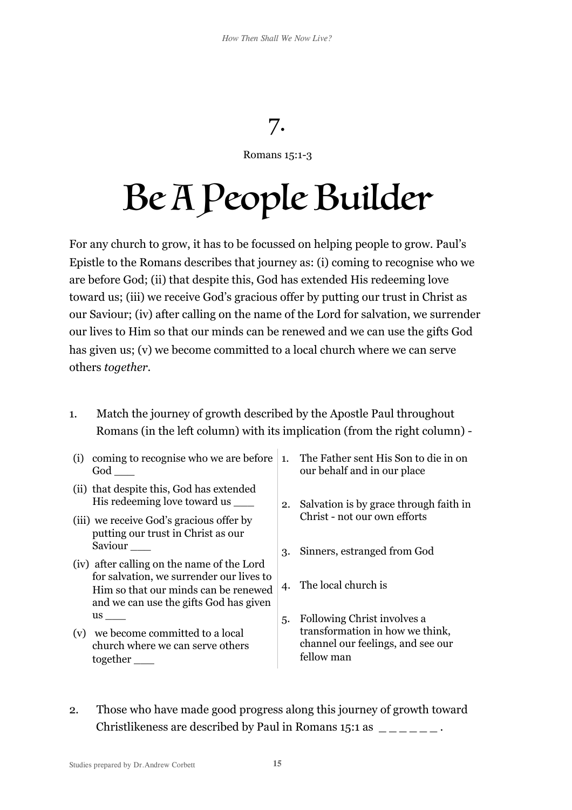## 7.

## Romans 15:1-3

## Be A People Builder

For any church to grow, it has to be focussed on helping people to grow. Paul's Epistle to the Romans describes that journey as: (i) coming to recognise who we are before God; (ii) that despite this, God has extended His redeeming love toward us; (iii) we receive God's gracious offer by putting our trust in Christ as our Saviour; (iv) after calling on the name of the Lord for salvation, we surrender our lives to Him so that our minds can be renewed and we can use the gifts God has given us; (v) we become committed to a local church where we can serve others *together*.

- 1. Match the journey of growth described by the Apostle Paul throughout Romans (in the left column) with its implication (from the right column) -
- (i) coming to recognise who we are before 1. The Father sent His Son to die in on God \_\_\_
- (ii) that despite this, God has extended His redeeming love toward us \_\_\_
- (iii) we receive God's gracious offer by putting our trust in Christ as our Saviour \_\_\_
- (iv) after calling on the name of the Lord for salvation, we surrender our lives to Him so that our minds can be renewed and we can use the gifts God has given us \_\_\_
- (v) we become committed to a local church where we can serve others together
- our behalf and in our place
- 2. Salvation is by grace through faith in Christ - not our own efforts
- 3. Sinners, estranged from God
- 4. The local church is
- 5. Following Christ involves a transformation in how we think, channel our feelings, and see our fellow man
- 2. Those who have made good progress along this journey of growth toward Christlikeness are described by Paul in Romans  $15:1$  as  $\frac{1}{2}$   $\frac{1}{2}$